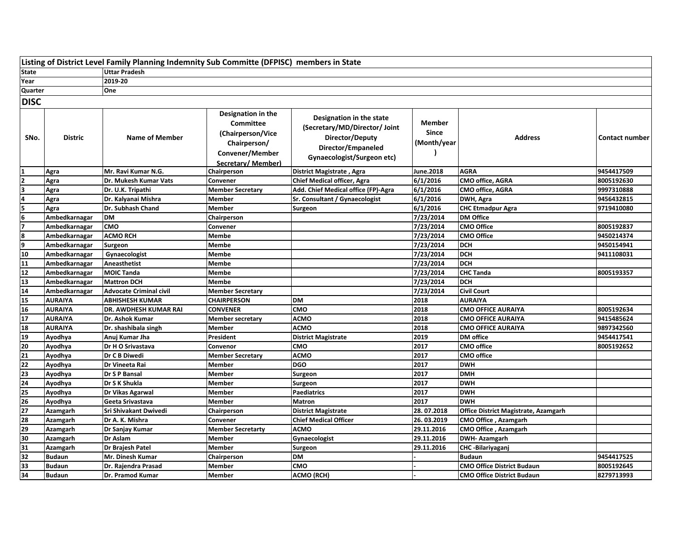|                         | Listing of District Level Family Planning Indemnity Sub Committe (DFPISC) members in State |                                |                                                                                                                     |                                                                                                                                  |                                              |                                      |                |
|-------------------------|--------------------------------------------------------------------------------------------|--------------------------------|---------------------------------------------------------------------------------------------------------------------|----------------------------------------------------------------------------------------------------------------------------------|----------------------------------------------|--------------------------------------|----------------|
| <b>State</b>            |                                                                                            | <b>Uttar Pradesh</b>           |                                                                                                                     |                                                                                                                                  |                                              |                                      |                |
| Year                    |                                                                                            | 2019-20                        |                                                                                                                     |                                                                                                                                  |                                              |                                      |                |
| Quarter                 |                                                                                            | One                            |                                                                                                                     |                                                                                                                                  |                                              |                                      |                |
| <b>DISC</b>             |                                                                                            |                                |                                                                                                                     |                                                                                                                                  |                                              |                                      |                |
| SNo.                    | <b>Distric</b>                                                                             | <b>Name of Member</b>          | Designation in the<br><b>Committee</b><br>(Chairperson/Vice<br>Chairperson/<br>Convener/Member<br>Secretary/Member) | Designation in the state<br>(Secretary/MD/Director/ Joint<br>Director/Deputy<br>Director/Empaneled<br>Gynaecologist/Surgeon etc) | <b>Member</b><br><b>Since</b><br>(Month/year | <b>Address</b>                       | Contact number |
| $\mathbf{1}$            | Agra                                                                                       | Mr. Ravi Kumar N.G.            | Chairperson                                                                                                         | <b>District Magistrate, Agra</b>                                                                                                 | June.2018                                    | <b>AGRA</b>                          | 9454417509     |
| $\overline{2}$          | Agra                                                                                       | Dr. Mukesh Kumar Vats          | Convener                                                                                                            | <b>Chief Medical officer, Agra</b>                                                                                               | 6/1/2016                                     | CMO office, AGRA                     | 8005192630     |
| 3                       | Agra                                                                                       | Dr. U.K. Tripathi              | <b>Member Secretary</b>                                                                                             | Add. Chief Medical office (FP)-Agra                                                                                              | 6/1/2016                                     | CMO office, AGRA                     | 9997310888     |
| 4                       | Agra                                                                                       | Dr. Kalyanai Mishra            | Member                                                                                                              | Sr. Consultant / Gynaecologist                                                                                                   | 6/1/2016                                     | DWH, Agra                            | 9456432815     |
| 5                       | Agra                                                                                       | Dr. Subhash Chand              | Member                                                                                                              | Surgeon                                                                                                                          | 6/1/2016                                     | <b>CHC Etmadpur Agra</b>             | 9719410080     |
| $\overline{6}$          | Ambedkarnagar                                                                              | <b>DM</b>                      | Chairperson                                                                                                         |                                                                                                                                  | 7/23/2014                                    | <b>DM Office</b>                     |                |
| $\overline{\mathbf{z}}$ | Ambedkarnagar                                                                              | <b>CMO</b>                     | Convener                                                                                                            |                                                                                                                                  | 7/23/2014                                    | <b>CMO Office</b>                    | 8005192837     |
| 8                       | Ambedkarnagar                                                                              | <b>ACMO RCH</b>                | Membe                                                                                                               |                                                                                                                                  | 7/23/2014                                    | <b>CMO Office</b>                    | 9450214374     |
| 9                       | Ambedkarnagar                                                                              | Surgeon                        | Membe                                                                                                               |                                                                                                                                  | 7/23/2014                                    | <b>DCH</b>                           | 9450154941     |
| ${\bf 10}$              | Ambedkarnagar                                                                              | Gynaecologist                  | Membe                                                                                                               |                                                                                                                                  | 7/23/2014                                    | <b>DCH</b>                           | 9411108031     |
| $\mathbf{11}$           | Ambedkarnagar                                                                              | Aneasthetist                   | Membe                                                                                                               |                                                                                                                                  | 7/23/2014                                    | <b>DCH</b>                           |                |
| $12$                    | Ambedkarnagar                                                                              | <b>MOIC Tanda</b>              | Membe                                                                                                               |                                                                                                                                  | 7/23/2014                                    | <b>CHC Tanda</b>                     | 8005193357     |
| 13                      | Ambedkarnagar                                                                              | <b>Mattron DCH</b>             | Membe                                                                                                               |                                                                                                                                  | 7/23/2014                                    | <b>DCH</b>                           |                |
| $\overline{14}$         | Ambedkarnagar                                                                              | <b>Advocate Criminal civil</b> | <b>Member Secretary</b>                                                                                             |                                                                                                                                  | 7/23/2014                                    | <b>Civil Court</b>                   |                |
| 15                      | AURAIYA                                                                                    | <b>ABHISHESH KUMAR</b>         | <b>CHAIRPERSON</b>                                                                                                  | <b>DM</b>                                                                                                                        | 2018                                         | <b>AURAIYA</b>                       |                |
| 16                      | <b>AURAIYA</b>                                                                             | DR. AWDHESH KUMAR RAI          | <b>CONVENER</b>                                                                                                     | CMO                                                                                                                              | 2018                                         | <b>CMO OFFICE AURAIYA</b>            | 8005192634     |
| $\overline{17}$         | AURAIYA                                                                                    | Dr. Ashok Kumar                | <b>Member secretary</b>                                                                                             | <b>ACMO</b>                                                                                                                      | 2018                                         | <b>CMO OFFICE AURAIYA</b>            | 9415485624     |
| 18                      | <b>AURAIYA</b>                                                                             | Dr. shashibala singh           | Member                                                                                                              | <b>ACMO</b>                                                                                                                      | 2018                                         | <b>CMO OFFICE AURAIYA</b>            | 9897342560     |
| <u>19</u>               | Ayodhya                                                                                    | Anuj Kumar Jha                 | President                                                                                                           | <b>District Magistrate</b>                                                                                                       | 2019                                         | <b>DM</b> office                     | 9454417541     |
| $\overline{20}$         | Ayodhya                                                                                    | Dr H O Srivastava              | Convenor                                                                                                            | CMO                                                                                                                              | 2017                                         | <b>CMO</b> office                    | 8005192652     |
| $\overline{21}$         | Ayodhya                                                                                    | Dr C B Diwedi                  | <b>Member Secretary</b>                                                                                             | <b>ACMO</b>                                                                                                                      | 2017                                         | <b>CMO</b> office                    |                |
| $\overline{22}$         | Ayodhya                                                                                    | Dr Vineeta Rai                 | <b>Member</b>                                                                                                       | <b>DGO</b>                                                                                                                       | 2017                                         | <b>DWH</b>                           |                |
| $\overline{23}$         | Ayodhya                                                                                    | Dr S P Bansal                  | Member                                                                                                              | Surgeon                                                                                                                          | 2017                                         | <b>DMH</b>                           |                |
| 24                      | Ayodhya                                                                                    | Dr S K Shukla                  | Member                                                                                                              | Surgeon                                                                                                                          | 2017                                         | <b>DWH</b>                           |                |
| 25                      | Ayodhya                                                                                    | Dr Vikas Agarwal               | Member                                                                                                              | <b>Paediatrics</b>                                                                                                               | 2017                                         | <b>DWH</b>                           |                |
| 26                      | Ayodhya                                                                                    | Geeta Srivastava               | Member                                                                                                              | <b>Matron</b>                                                                                                                    | 2017                                         | <b>DWH</b>                           |                |
| $\overline{27}$         | <b>Azamgarh</b>                                                                            | Sri Shivakant Dwivedi          | Chairperson                                                                                                         | <b>District Magistrate</b>                                                                                                       | 28.07.2018                                   | Office District Magistrate, Azamgarh |                |
| 28                      | Azamgarh                                                                                   | Dr A. K. Mishra                | Convener                                                                                                            | <b>Chief Medical Officer</b>                                                                                                     | 26.03.2019                                   | CMO Office, Azamgarh                 |                |
| $\overline{29}$         | Azamgarh                                                                                   | Dr Sanjay Kumar                | <b>Member Secretarty</b>                                                                                            | <b>ACMO</b>                                                                                                                      | 29.11.2016                                   | <b>CMO Office, Azamgarh</b>          |                |
| 30                      | Azamgarh                                                                                   | <b>Dr Aslam</b>                | <b>Member</b>                                                                                                       | Gynaecologist                                                                                                                    | 29.11.2016                                   | <b>DWH-Azamgarh</b>                  |                |
| 31                      | Azamgarh                                                                                   | Dr Brajesh Patel               | Member                                                                                                              | Surgeon                                                                                                                          | 29.11.2016                                   | <b>CHC-Bilariyaganj</b>              |                |
| 32                      | <b>Budaun</b>                                                                              | Mr. Dinesh Kumar               | Chairperson                                                                                                         | DM                                                                                                                               |                                              | <b>Budaun</b>                        | 9454417525     |
| $\overline{33}$         | <b>Budaun</b>                                                                              | Dr. Rajendra Prasad            | Member                                                                                                              | CMO                                                                                                                              |                                              | <b>CMO Office District Budaun</b>    | 8005192645     |
| $\overline{34}$         | Budaun                                                                                     | <b>Dr. Pramod Kumar</b>        | Member                                                                                                              | <b>ACMO (RCH)</b>                                                                                                                |                                              | <b>CMO Office District Budaun</b>    | 8279713993     |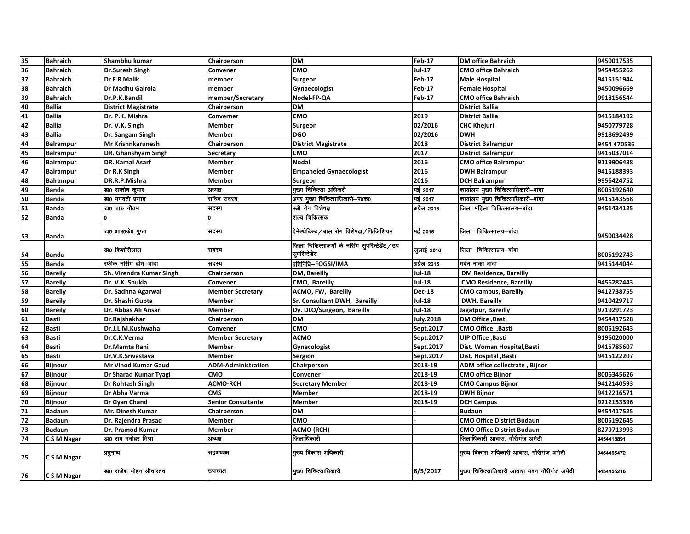| 35 | <b>Bahraich</b>  | Shambhu kumar              | Chairperson               | DM                                                               | <b>Feb-17</b>    | <b>DM office Bahraich</b>                   | 9450017535  |
|----|------------------|----------------------------|---------------------------|------------------------------------------------------------------|------------------|---------------------------------------------|-------------|
| 36 | <b>Bahraich</b>  | Dr.Suresh Singh            | Convener                  | CMO                                                              | Jul-17           | <b>CMO office Bahraich</b>                  | 9454455262  |
| 37 | <b>Bahraich</b>  | Dr F R Malik               | member                    | Surgeon                                                          | <b>Feb-17</b>    | <b>Male Hospital</b>                        | 9415151944  |
| 38 | <b>Bahraich</b>  | Dr Madhu Gairola           | member                    | Gynaecologist                                                    | Feb-17           | <b>Female Hospital</b>                      | 9450096669  |
| 39 | <b>Bahraich</b>  | Dr.P.K.Bandil              | member/Secretary          | Nodel-FP-QA                                                      | <b>Feb</b> 17    | <b>CMO office Bahraich</b>                  | 9918156544  |
| 40 | <b>Ballia</b>    | <b>District Magistrate</b> | Chairperson               | DM                                                               |                  | <b>District Ballia</b>                      |             |
| 41 | <b>Ballia</b>    | Dr. P.K. Mishra            | Converner                 | CMO                                                              | 2019             | <b>District Ballia</b>                      | 9415184192  |
| 42 | <b>Ballia</b>    | Dr. V.K. Singh             | <b>Member</b>             | Surgeon                                                          | 02/2016          | <b>CHC Khejuri</b>                          | 9450779728  |
| 43 | <b>Ballia</b>    | Dr. Sangam Singh           | <b>Member</b>             | <b>DGO</b>                                                       | 02/2016          | <b>DWH</b>                                  | 9918692499  |
| 44 | <b>Balrampur</b> | <b>Mr Krishnkarunesh</b>   | Chairperson               | <b>District Magistrate</b>                                       | 2018             | <b>District Balrampur</b>                   | 9454 470536 |
| 45 | <b>Balrampur</b> | DR. Ghanshyam Singh        | Secretary                 | <b>CMO</b>                                                       | 2017             | <b>District Balrampur</b>                   | 9415037014  |
| 46 | <b>Balrampur</b> | DR. Kamal Asarf            | <b>Member</b>             | <b>Nodal</b>                                                     | 2016             | <b>CMO office Balrampur</b>                 | 9119906438  |
| 47 | <b>Balrampur</b> | Dr R.K Singh               | <b>Member</b>             | <b>Empaneled Gynaecologist</b>                                   | 2016             | <b>DWH Balrampur</b>                        | 9415188393  |
| 48 | <b>Balrampur</b> | DR.R.P.Mishra              | <b>Member</b>             | Surgeon                                                          | 2016             | <b>DCH Balrampur</b>                        | 9956424752  |
| 49 | <b>Banda</b>     | डा0 सन्तोष कुमार           | अध्यक्ष                   | मुख्य चिकित्सा अधिकरी                                            | <b>मई 2017</b>   | कार्यालय मुख्य चिकित्साधिकारी-बांदा         | 8005192640  |
| 50 | <b>Banda</b>     | डा0 भगवती प्रसाद           | सचिव सदस्य                | अपर मुख्य चिकित्साधिकारी-प0क0                                    | मई 2017          | कार्यालय मुख्य चिकित्साधिकारी-बांदा         | 9415143568  |
| 51 | <b>Banda</b>     | डा0 चारु गौतम              | रादरय                     | स्त्री रोग विशेषज्ञ                                              | अप्रैल 2015      | जिला महिला चिकित्सालय—बांदा                 | 9451434125  |
| 52 | <b>Banda</b>     |                            |                           | शल्य चिकित्सक                                                    |                  |                                             |             |
| 53 | <b>Banda</b>     | डा0 आर0के0 गुप्ता          | सदस्य                     | ऐनेस्थेटिस्ट/बाल रोग विशेषज्ञ/फिजिशियन                           | मई 2015          | जिला चिकित्सालय-बांदा                       | 9450034428  |
| 54 | <b>Banda</b>     | डा0 किशोरीलाल              | सदस्य                     | जिला चिकित्सालयों के नर्सिंग सुपरिन्टेडेंट / उप<br>सुपरिन्टेडेंट | जुलाई 2016       | जिला चिकित्सालय—बांदा                       | 8005192743  |
| 55 | <b>Banda</b>     | रफीक नर्सिंग होम—बादा      | सदस्य                     | प्रतिनिधि-FOGSI/IMA                                              | अप्रैल 2015      | मर्दन नाका बांदा                            | 9415144044  |
| 56 | <b>Bareily</b>   | Sh. Virendra Kumar Singh   | Chairperson               | DM, Bareilly                                                     | <b>Jul-18</b>    | <b>DM Residence, Bareilly</b>               |             |
| 57 | <b>Bareily</b>   | Dr. V.K. Shukla            | Convener                  | CMO, Bareilly                                                    | Jul-18           | <b>CMO Residence, Bareilly</b>              | 9456282443  |
| 58 | <b>Bareily</b>   | Dr. Sadhna Agarwal         | <b>Member Secretary</b>   | ACMO, FW, Bareilly                                               | <b>Dec-18</b>    | <b>CMO campus, Bareilly</b>                 | 9412738755  |
| 59 | <b>Bareily</b>   | Dr. Shashi Gupta           | Member                    | Sr. Consultant DWH, Bareilly                                     | Jul-18           | <b>DWH, Bareilly</b>                        | 9410429717  |
| 60 | <b>Bareily</b>   | Dr. Abbas Ali Ansari       | <b>Member</b>             | Dy. DLO/Surgeon, Bareilly                                        | Jul-18           | Jagatpur, Bareilly                          | 9719291723  |
| 61 | <b>Basti</b>     | Dr.Rajshakhar              | Chairperson               | DM                                                               | <b>July.2018</b> | DM Office , Basti                           | 9454417528  |
| 62 | <b>Basti</b>     | Dr.J.L.M.Kushwaha          | Convener                  | CMO                                                              | Sept.2017        | CMO Office, Basti                           | 8005192643  |
| 63 | <b>Basti</b>     | Dr.C.K.Verma               | <b>Member Secretary</b>   | <b>ACMO</b>                                                      | Sept.2017        | <b>UIP Office, Basti</b>                    | 9196020000  |
| 64 | <b>Basti</b>     | Dr.Mamta Rani              | <b>Member</b>             | Gynecologist                                                     | Sept.2017        | Dist. Woman Hospital, Basti                 | 9415785607  |
| 65 | <b>Basti</b>     | Dr.V.K.Srivastava          | <b>Member</b>             | Sergion                                                          | Sept.2017        | Dist. Hospital , Basti                      | 9415122207  |
| 66 | <b>Bijnour</b>   | <b>Mr Vinod Kumar Gaud</b> | <b>ADM-Administration</b> | Chairperson                                                      | 2018-19          | ADM office collectrate, Bijnor              |             |
| 67 | <b>Bijnour</b>   | Dr Sharad Kumar Tyagi      | <b>CMO</b>                | Convener                                                         | 2018-19          | <b>CMO office Bijnor</b>                    | 8006345626  |
| 68 | <b>Bijnour</b>   | Dr Rohtash Singh           | <b>ACMO-RCH</b>           | <b>Secretary Member</b>                                          | 2018-19          | <b>CMO Campus Bijnor</b>                    | 9412140593  |
| 69 | <b>Bijnour</b>   | Dr Abha Varma              | <b>CMS</b>                | <b>Member</b>                                                    | 2018-19          | <b>DWH Bijnor</b>                           | 9412216571  |
| 70 | <b>Bijnour</b>   | Dr Gyan Chand              | <b>Senior Consultante</b> | <b>Member</b>                                                    | 2018-19          | <b>DCH Campus</b>                           | 9212153396  |
| 71 | <b>Badaun</b>    | Mr. Dinesh Kumar           | Chairperson               | DM                                                               |                  | <b>Budaun</b>                               | 9454417525  |
| 72 | <b>Badaun</b>    | Dr. Rajendra Prasad        | <b>Member</b>             | CMO                                                              |                  | <b>CMO Office District Budaun</b>           | 8005192645  |
| 73 | <b>Badaun</b>    | Dr. Pramod Kumar           | Member                    | ACMO (RCH)                                                       |                  | <b>CMO Office District Budaun</b>           | 8279713993  |
| 74 | C S M Nagar      | डा0 राम मनोहर मिश्रा       | अध्यक्ष                   | जिलाधिकारी                                                       |                  | जिलाधिकारी आवास, गौरीगंज अमेठी              | 9454418891  |
| 75 | C S M Nagar      | प्रमुनाथ                   | सहअध्यक्ष                 | मुख्य विकास अधिकारी                                              |                  | मुख्य विकास अधिकारी आवास, गौरीगंज अमेठी     | 9454465472  |
| 76 | C S M Nagar      | डा0 राजेश मोहन श्रीवास्तव  | उपाध्यक्ष                 | मुख्य चिकित्साधिकारी                                             | 8/5/2017         | मुख्य चिकित्साधिकारी आवास भवन गौरीगंज अमेठी | 9454455216  |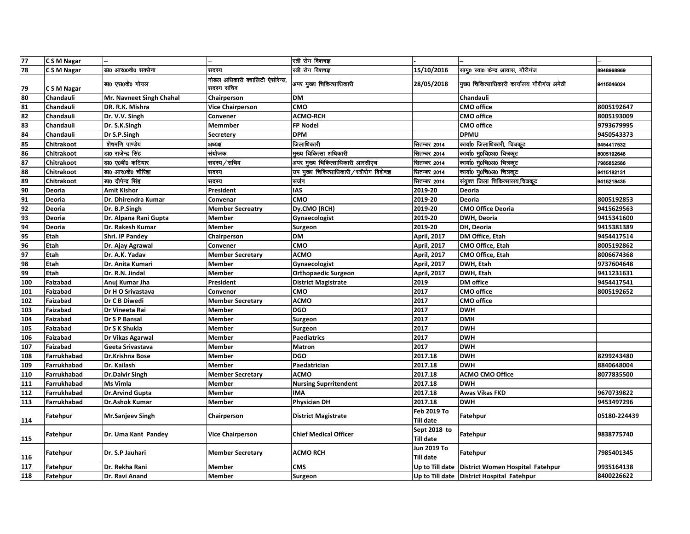| 77  | C S M Nagar        |                          |                                               | स्त्री रोग विशषज्ञ                         |                                  |                                                    |              |
|-----|--------------------|--------------------------|-----------------------------------------------|--------------------------------------------|----------------------------------|----------------------------------------------------|--------------|
| 78  | C S M Nagar        | डा0 आर00के0 सक्सेना      | सदस्य                                         | स्त्री रोग विशषज्ञ                         | 15/10/2016                       | सामू0 स्वा0 केन्द्र आवास, गौरीगंज                  | 8948968969   |
| 79  | CSM Nagar          | डा0 एस0के0 गोयल          | नोडल अधिकारी क्वालिटी ऐसोरेन्स,<br>सदस्य सचिव | अपर मुख्य चिकित्साधिकारी                   | 28/05/2018                       | मुख्य चिकित्साधिकारी कार्यालय गौरीगंज अमेठी        | 9415046024   |
| 80  | Chandauli          | Mr. Navneet Singh Chahal | Chairperson                                   | <b>DM</b>                                  |                                  | Chandauli                                          |              |
| 81  | Chandauli          | DR. R.K. Mishra          | <b>Vice Chairperson</b>                       | <b>CMO</b>                                 |                                  | <b>CMO</b> office                                  | 8005192647   |
| 82  | Chandauli          | Dr. V.V. Singh           | Convener                                      | <b>ACMO-RCH</b>                            |                                  | <b>CMO</b> office                                  | 8005193009   |
| 83  | Chandauli          | Dr. S.K.Singh            | <b>Memmber</b>                                | <b>FP Nodel</b>                            |                                  | <b>CMO office</b>                                  | 9793679995   |
| 84  | Chandauli          | Dr S.P.Singh             | <b>Secretery</b>                              | <b>DPM</b>                                 |                                  | <b>DPMU</b>                                        | 9450543373   |
| 85  | Chitrakoot         | शेषमणि पाण्डेय           | अध्यक्ष                                       | जिलाधिकारी                                 | सितम्बर 2014                     | कार्या0 जिलाधिकारी, चित्रकूट                       | 9454417532   |
| 86  | Chitrakoot         | डा0 राजेन्द्र सिंह       | संयोजक                                        | मुख्य चिकित्सा अधिकारी                     | सितम्बर 2014                     | कार्या0 मु0चि0अ0 चित्रकूट                          | 8005192648   |
| 87  | Chitrakoot         | डा0 ए0बी0 कटियार         | सदस्य / सचिव                                  | अपर मुख्य चिकित्साधिकारी आरसीएच            | सितम्बर 2014                     | कार्या0 मु0चि0अ0 चित्रकूट                          | 7985852586   |
| 88  | Chitrakoot         | डा0 आर0के0 चौरिहा        | सदस्य                                         | उप मुख्य चिकित्साधिकारी/स्त्रीरोग विशेषज्ञ | सितम्बर 2014                     | कार्या0 मु0चि0अ0 चित्रकूट                          | 9415182131   |
| 89  | Chitrakoot         | डा0 दीपेन्द्र सिंह       | सदस्य                                         | सर्जन                                      | सितम्बर 2014                     | संयुक्त जिला चिकित्सालय,चित्रकूट                   | 9415218435   |
| 90  | Deoria             | <b>Amit Kishor</b>       | President                                     | <b>IAS</b>                                 | 2019-20                          | <b>Deoria</b>                                      |              |
| 91  | Deoria             | Dr. Dhirendra Kumar      | Convenar                                      | <b>CMO</b>                                 | 2019-20                          | <b>Deoria</b>                                      | 8005192853   |
| 92  | Deoria             | Dr. B.P.Singh            | <b>Member Secreatry</b>                       | Dy.CMO (RCH)                               | 2019-20                          | <b>CMO Office Deoria</b>                           | 9415629563   |
| 93  | Deoria             | Dr. Alpana Rani Gupta    | <b>Member</b>                                 | Gynaecologist                              | 2019-20                          | DWH, Deoria                                        | 9415341600   |
| 94  | <b>Deoria</b>      | Dr. Rakesh Kumar         | <b>Member</b>                                 | <b>Surgeon</b>                             | 2019-20                          | DH, Deoria                                         | 9415381389   |
| 95  | Etah               | <b>Shri. IP Pandey</b>   | Chairperson                                   | <b>DM</b>                                  | <b>April, 2017</b>               | DM Office, Etah                                    | 9454417514   |
| 96  | Etah               | Dr. Ajay Agrawal         | Convener                                      | <b>CMO</b>                                 | April, 2017                      | CMO Office, Etah                                   | 8005192862   |
| 97  | Etah               | Dr. A.K. Yadav           | <b>Member Secretary</b>                       | <b>ACMO</b>                                | April, 2017                      | CMO Office, Etah                                   | 8006674368   |
| 98  | Etah               | Dr. Anita Kumari         | <b>Member</b>                                 | Gynaecologist                              | April, 2017                      | DWH, Etah                                          | 9737604648   |
| 99  | Etah               | Dr. R.N. Jindal          | <b>Member</b>                                 | <b>Orthopaedic Surgeon</b>                 | April, 2017                      | DWH, Etah                                          | 9411231631   |
| 100 | Faizabad           | Anuj Kumar Jha           | President                                     | <b>District Magistrate</b>                 | 2019                             | <b>DM</b> office                                   | 9454417541   |
| 101 | Faizabad           | Dr H O Srivastava        | Convenor                                      | <b>CMO</b>                                 | 2017                             | <b>CMO</b> office                                  | 8005192652   |
| 102 | Faizabad           | Dr C B Diwedi            | <b>Member Secretary</b>                       | <b>ACMO</b>                                | 2017                             | <b>CMO office</b>                                  |              |
| 103 | Faizabad           | Dr Vineeta Rai           | <b>Member</b>                                 | <b>DGO</b>                                 | 2017                             | <b>DWH</b>                                         |              |
| 104 | Faizabad           | Dr S P Bansal            | <b>Member</b>                                 | <b>Surgeon</b>                             | 2017                             | <b>DMH</b>                                         |              |
| 105 | Faizabad           | Dr S K Shukla            | <b>Member</b>                                 | Surgeon                                    | 2017                             | <b>DWH</b>                                         |              |
| 106 | Faizabad           | Dr Vikas Agarwal         | <b>Member</b>                                 | Paediatrics                                | 2017                             | <b>DWH</b>                                         |              |
| 107 | Faizabad           | Geeta Srivastava         | <b>Member</b>                                 | <b>Matron</b>                              | 2017                             | <b>DWH</b>                                         |              |
| 108 | <b>Farrukhabad</b> | <b>Dr.Krishna Bose</b>   | <b>Member</b>                                 | <b>DGO</b>                                 | 2017.18                          | <b>DWH</b>                                         | 8299243480   |
| 109 | Farrukhabad        | Dr. Kailash              | <b>Member</b>                                 | Paedatrician                               | 2017.18                          | <b>DWH</b>                                         | 8840648004   |
| 110 | Farrukhabad        | <b>Dr.Dalvir Singh</b>   | <b>Member Secretary</b>                       | <b>ACMO</b>                                | 2017.18                          | <b>ACMO CMO Office</b>                             | 8077835500   |
| 111 | Farrukhabad        | <b>Ms Vimla</b>          | Member                                        | <b>Nursing Suprritendent</b>               | 2017.18                          | <b>DWH</b>                                         |              |
| 112 | Farrukhabad        | <b>Dr.Arvind Gupta</b>   | <b>Member</b>                                 | <b>IMA</b>                                 | 2017.18                          | <b>Awas Vikas FKD</b>                              | 9670739822   |
| 113 | Farrukhabad        | Dr.Ashok Kumar           | <b>Member</b>                                 | <b>Physician DH</b>                        | 2017.18                          | <b>DWH</b>                                         | 9453497296   |
| 114 | Fatehpur           | <b>Mr.Sanjeev Singh</b>  | Chairperson                                   | <b>District Magistrate</b>                 | Feb 2019 To<br>Till date         | Fatehpur                                           | 05180-224439 |
| 115 | Fatehpur           | Dr. Uma Kant Pandey      | <b>Vice Chairperson</b>                       | <b>Chief Medical Officer</b>               | Sept 2018 to<br><b>Till date</b> | Fatehpur                                           | 9838775740   |
| 116 | Fatehpur           | Dr. S.P Jauhari          | <b>Member Secretary</b>                       | <b>ACMO RCH</b>                            | Jun 2019 To<br>Till date         | <b>Fatehpur</b>                                    | 7985401345   |
| 117 | Fatehpur           | Dr. Rekha Rani           | <b>Member</b>                                 | <b>CMS</b>                                 |                                  | Up to Till date   District Women Hospital Fatehpur | 9935164138   |
| 118 | Fatehpur           | Dr. Ravi Anand           | <b>Member</b>                                 | Surgeon                                    |                                  | Up to Till date District Hospital Fatehpur         | 8400226622   |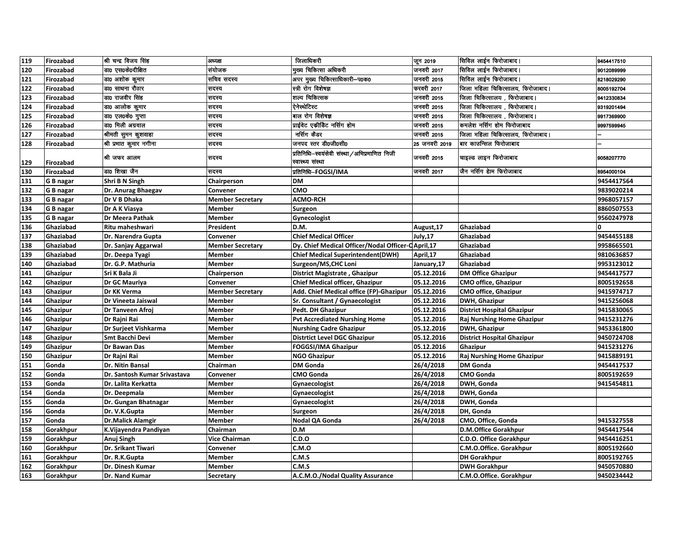| 119 | Firozabad | श्री चन्द्र विजय सिंह        | अध्यक्ष                 | जिलाधिकरी                                                         | जून 2019      | सिविल लाईन फिरोजाबाद।             | 9454417510 |
|-----|-----------|------------------------------|-------------------------|-------------------------------------------------------------------|---------------|-----------------------------------|------------|
| 120 | Firozabad | डा0 एस0के0दीक्षित            | संयोजक                  | मख्य चिकित्सा अधिकरी                                              | जनवरी 2017    | सिविल लाईन फिरोजाबाद।             | 9012089999 |
| 121 | Firozabad | डा0 अशोक कुमार               | सचिव सदस्य              | अपर मुख्य चिकित्साधिकारी–प0क0                                     | जनवरी 2015    | सिविल लाईन फिरोजाबाद।             | 8218029290 |
| 122 | Firozabad | डा0 साधना रौठार              | सदस्य                   | स्त्री रोग विशेषज्ञ                                               | फरवरी 2017    | जिला महिला चिकित्सालय, फिरोजाबाद। | 8005192704 |
| 123 | Firozabad | डा0 राजवीर सिंह              | सदस्य                   | शल्य चिकित्सक                                                     | जनवरी 2015    | जिला चिकित्सालय , फिरोजाबाद।      | 9412330834 |
| 124 | Firozabad | डा0 आलोक कुमार               | सदस्य                   | ऐनेस्थेटिस्ट                                                      | जनवरी 2015    | जिला चिकित्सालय , फिरोजाबाद       | 9319201494 |
| 125 | Firozabad | डा0 एल0के0 गुप्ता            | सदस्य                   | बाल रोग विशेषज्ञ                                                  | जनवरी 2015    | जिला चिकित्सालय , फिरोजाबाद।      | 9917369900 |
| 126 | Firozabad | डा0 मिली अग्रवाल             | सदस्य                   | प्राईवेट एकीडिट नर्सिग होम                                        | जनवरी 2015    | कमलेश नर्सिग होम फिरोजाबाद        | 9997599945 |
| 127 | Firozabad | श्रीमती सुमन कुशवाहा         | सदस्य                   | नर्सिग कैडर                                                       | जनवरी 2015    | जिला महिला चिकित्सालय, फिरोजाबाद। |            |
| 128 | Firozabad | श्री प्रभात कुमार नगीना      | सदस्य                   | जनपद स्तर डी0जी0सी0                                               | 25 जनवरी 2019 | बार काउन्सिल फिरोजाबाद            |            |
| 129 | Firozabad | श्री जफर आल <b>म</b>         | सदस्य                   | प्रतिनिधि–स्वयंसेवी संस्था ⁄ अभिप्रमाणित निजी<br>स्वास्थ्य संस्था | जनवरी 2015    | चाइल्ड लाइन फिरोजाबाद             | 9058207770 |
| 130 | Firozabad | डा0 शिखा जैन                 | सदस्य                   | प्रतिनिधि—FOGSI/IMA                                               | जनवरी 2017    | जैन नर्सिग हेाम फिरोजाबाद         | 8954000104 |
| 131 | G B nagar | Shri B N Singh               | Chairperson             | DM                                                                |               |                                   | 9454417564 |
| 132 | G B nagar | Dr. Anurag Bhaegav           | Convener                | CMO                                                               |               |                                   | 9839020214 |
| 133 | G B nagar | Dr V B Dhaka                 | <b>Member Secretary</b> | <b>ACMO-RCH</b>                                                   |               |                                   | 9968057157 |
| 134 | G B nagar | Dr A K Viasya                | <b>Member</b>           | Surgeon                                                           |               |                                   | 8860507553 |
| 135 | G B nagar | Dr Meera Pathak              | Member                  | Gynecologist                                                      |               |                                   | 9560247978 |
| 136 | Ghaziabad | Ritu maheshwari              | President               | D.M.                                                              | August, 17    | Ghaziabad                         | 0          |
| 137 | Ghaziabad | Dr. Narendra Gupta           | Convener                | <b>Chief Medical Officer</b>                                      | July,17       | Ghaziabad                         | 9454455188 |
| 138 | Ghaziabad | Dr. Sanjay Aggarwal          | <b>Member Secretary</b> | Dy. Chief Medical Officer/Nodal Officer-C April, 17               |               | Ghaziabad                         | 9958665501 |
| 139 | Ghaziabad | Dr. Deepa Tyagi              | Member                  | <b>Chief Medical Superintendent(DWH)</b>                          | April, 17     | Ghaziabad                         | 9810636857 |
| 140 | Ghaziabad | Dr. G.P. Mathuria            | <b>Member</b>           | Surgeon/MS, CHC Loni                                              | January,17    | Ghaziabad                         | 9953123012 |
| 141 | Ghazipur  | Sri K Bala Ji                | Chairperson             | District Magistrate, Ghazipur                                     | 05.12.2016    | <b>DM Office Ghazipur</b>         | 9454417577 |
| 142 | Ghazipur  | Dr GC Mauriya                | Convener                | <b>Chief Medical officer, Ghazipur</b>                            | 05.12.2016    | <b>CMO office, Ghazipur</b>       | 8005192658 |
| 143 | Ghazipur  | Dr KK Verma                  | <b>Member Secretary</b> | Add. Chief Medical office (FP)-Ghazipur                           | 05.12.2016    | <b>CMO office, Ghazipur</b>       | 9415974717 |
| 144 | Ghazipur  | <b>Dr Vineeta Jaiswal</b>    | Member                  | Sr. Consultant / Gynaecologist                                    | 05.12.2016    | DWH, Ghazipur                     | 9415256068 |
| 145 | Ghazipur  | Dr Tanveen Afroj             | <b>Member</b>           | Pedt. DH Ghazipur                                                 | 05.12.2016    | <b>District Hospital Ghazipur</b> | 9415830065 |
| 146 | Ghazipur  | Dr Rajni Rai                 | <b>Member</b>           | <b>Pvt Accrediated Nurshing Home</b>                              | 05.12.2016    | Raj Nurshing Home Ghazipur        | 9415231276 |
| 147 | Ghazipur  | Dr Surjeet Vishkarma         | Member                  | <b>Nurshing Cadre Ghazipur</b>                                    | 05.12.2016    | DWH, Ghazipur                     | 9453361800 |
| 148 | Ghazipur  | <b>Smt Bacchi Devi</b>       | Member                  | <b>Distrtict Level DGC Ghazipur</b>                               | 05.12.2016    | <b>District Hospital Ghazipur</b> | 9450724708 |
| 149 | Ghazipur  | Dr Bawan Das                 | <b>Member</b>           | <b>FOGGSI/IMA Ghazipur</b>                                        | 05.12.2016    | Ghazipur                          | 9415231276 |
| 150 | Ghazipur  | Dr Rajni Rai                 | Member                  | <b>NGO Ghazipur</b>                                               | 05.12.2016    | Raj Nurshing Home Ghazipur        | 9415889191 |
| 151 | Gonda     | Dr. Nitin Bansal             | Chairman                | <b>DM Gonda</b>                                                   | 26/4/2018     | <b>DM Gonda</b>                   | 9454417537 |
| 152 | Gonda     | Dr. Santosh Kumar Srivastava | Convener                | <b>CMO Gonda</b>                                                  | 26/4/2018     | <b>CMO Gonda</b>                  | 8005192659 |
| 153 | Gonda     | Dr. Lalita Kerkatta          | <b>Member</b>           | Gynaecologist                                                     | 26/4/2018     | DWH, Gonda                        | 9415454811 |
| 154 | Gonda     | Dr. Deepmala                 | Member                  | Gynaecologist                                                     | 26/4/2018     | DWH, Gonda                        |            |
| 155 | Gonda     | Dr. Gungan Bhatnagar         | Member                  | Gynaecologist                                                     | 26/4/2018     | DWH, Gonda                        |            |
| 156 | Gonda     | Dr. V.K.Gupta                | Member                  | Surgeon                                                           | 26/4/2018     | DH, Gonda                         |            |
| 157 | Gonda     | <b>Dr.Malick Alamgir</b>     | <b>Member</b>           | Nodal QA Gonda                                                    | 26/4/2018     | CMO, Office, Gonda                | 9415327558 |
| 158 | Gorakhpur | K.Vijayendra Pandiyan        | Chairman                | D.M                                                               |               | D.M.Office Gorakhpur              | 9454417544 |
| 159 | Gorakhpur | Anuj Singh                   | <b>Vice Chairman</b>    | C.D.O                                                             |               | C.D.O. Office Gorakhpur           | 9454416251 |
| 160 | Gorakhpur | Dr. Srikant Tiwari           | Convener                | C.M.O                                                             |               | C.M.O.Office. Gorakhpur           | 8005192660 |
| 161 | Gorakhpur | Dr. R.K.Gupta                | Member                  | C.M.S                                                             |               | <b>DH Gorakhpur</b>               | 8005192765 |
| 162 | Gorakhpur | Dr. Dinesh Kumar             | Member                  | C.M.S                                                             |               | <b>DWH Gorakhpur</b>              | 9450570880 |
| 163 | Gorakhpur | Dr. Nand Kumar               | <b>Secretary</b>        | A.C.M.O./Nodal Quality Assurance                                  |               | C.M.O.Office. Gorakhpur           | 9450234442 |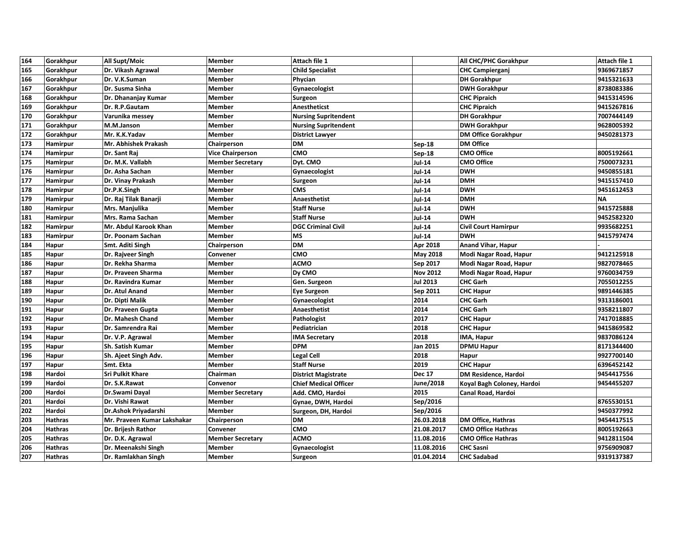| 164 | Gorakhpur       | All Supt/Moic               | <b>Member</b>           | Attach file 1                |                 | All CHC/PHC Gorakhpur       | Attach file 1 |
|-----|-----------------|-----------------------------|-------------------------|------------------------------|-----------------|-----------------------------|---------------|
| 165 | Gorakhpur       | Dr. Vikash Agrawal          | Member                  | <b>Child Specialist</b>      |                 | <b>CHC Campierganj</b>      | 9369671857    |
| 166 | Gorakhpur       | Dr. V.K.Suman               | <b>Member</b>           | Phycian                      |                 | <b>DH Gorakhpur</b>         | 9415321633    |
| 167 | Gorakhpur       | Dr. Susma Sinha             | Member                  | Gynaecologist                |                 | <b>DWH Gorakhpur</b>        | 8738083386    |
| 168 | Gorakhpur       | Dr. Dhananjay Kumar         | <b>Member</b>           | Surgeon                      |                 | <b>CHC Pipraich</b>         | 9415314596    |
| 169 | Gorakhpur       | Dr. R.P.Gautam              | <b>Member</b>           | Anestheticst                 |                 | <b>CHC Pipraich</b>         | 9415267816    |
| 170 | Gorakhpur       | Varunika messey             | <b>Member</b>           | <b>Nursing Supritendent</b>  |                 | <b>DH Gorakhpur</b>         | 7007444149    |
| 171 | Gorakhpur       | M.M.Janson                  | <b>Member</b>           | <b>Nursing Supritendent</b>  |                 | <b>DWH Gorakhpur</b>        | 9628005392    |
| 172 | Gorakhpur       | Mr. K.K.Yadav               | <b>Member</b>           | <b>District Lawyer</b>       |                 | <b>DM Office Gorakhpur</b>  | 9450281373    |
| 173 | Hamirpur        | Mr. Abhishek Prakash        | Chairperson             | <b>DM</b>                    | <b>Sep-18</b>   | <b>DM Office</b>            |               |
| 174 | Hamirpur        | Dr. Sant Raj                | <b>Vice Chairperson</b> | CMO                          | Sep-18          | <b>CMO Office</b>           | 8005192661    |
| 175 | Hamirpur        | Dr. M.K. Vallabh            | <b>Member Secretary</b> | Dyt. CMO                     | <b>Jul-14</b>   | <b>CMO Office</b>           | 7500073231    |
| 176 | Hamirpur        | Dr. Asha Sachan             | Member                  | Gynaecologist                | <b>Jul-14</b>   | <b>DWH</b>                  | 9450855181    |
| 177 | Hamirpur        | Dr. Vinay Prakash           | <b>Member</b>           | Surgeon                      | <b>Jul 14</b>   | <b>DMH</b>                  | 9415157410    |
| 178 | Hamirpur        | Dr.P.K.Singh                | <b>Member</b>           | <b>CMS</b>                   | <b>Jul 14</b>   | <b>DWH</b>                  | 9451612453    |
| 179 | Hamirpur        | Dr. Raj Tilak Banarji       | <b>Member</b>           | <b>Anaesthetist</b>          | <b>Jul-14</b>   | <b>DMH</b>                  | <b>NA</b>     |
| 180 | Hamirpur        | Mrs. Manjulika              | Member                  | <b>Staff Nurse</b>           | <b>Jul-14</b>   | <b>DWH</b>                  | 9415725888    |
| 181 | Hamirpur        | Mrs. Rama Sachan            | <b>Member</b>           | <b>Staff Nurse</b>           | <b>Jul-14</b>   | <b>DWH</b>                  | 9452582320    |
| 182 | Hamirpur        | Mr. Abdul Karook Khan       | <b>Member</b>           | <b>DGC Criminal Civil</b>    | <b>Jul-14</b>   | <b>Civil Court Hamirpur</b> | 9935682251    |
| 183 | <b>Hamirpur</b> | Dr. Poonam Sachan           | Member                  | <b>MS</b>                    | Jul-14          | <b>DWH</b>                  | 9415797474    |
| 184 | Hapur           | Smt. Aditi Singh            | Chairperson             | <b>DM</b>                    | Apr 2018        | <b>Anand Vihar, Hapur</b>   |               |
| 185 | Hapur           | Dr. Rajveer Singh           | Convener                | <b>CMO</b>                   | <b>May 2018</b> | Modi Nagar Road, Hapur      | 9412125918    |
| 186 | Hapur           | Dr. Rekha Sharma            | <b>Member</b>           | <b>ACMO</b>                  | Sep 2017        | Modi Nagar Road, Hapur      | 9827078465    |
| 187 | Hapur           | Dr. Praveen Sharma          | <b>Member</b>           | <b>Dy CMO</b>                | <b>Nov 2012</b> | Modi Nagar Road, Hapur      | 9760034759    |
| 188 | Hapur           | Dr. Ravindra Kumar          | <b>Member</b>           | Gen. Surgeon                 | <b>Jul 2013</b> | <b>CHC Garh</b>             | 7055012255    |
| 189 | Hapur           | Dr. Atul Anand              | Member                  | <b>Eye Surgeon</b>           | Sep 2011        | <b>CHC Hapur</b>            | 9891446385    |
| 190 | Hapur           | Dr. Dipti Malik             | Member                  | Gynaecologist                | 2014            | <b>CHC Garh</b>             | 9313186001    |
| 191 | Hapur           | Dr. Praveen Gupta           | <b>Member</b>           | Anaesthetist                 | 2014            | <b>CHC Garh</b>             | 9358211807    |
| 192 | Hapur           | Dr. Mahesh Chand            | Member                  | Pathologist                  | 2017            | <b>CHC Hapur</b>            | 7417018885    |
| 193 | Hapur           | Dr. Samrendra Rai           | Member                  | Pediatrician                 | 2018            | <b>CHC Hapur</b>            | 9415869582    |
| 194 | Hapur           | Dr. V.P. Agrawal            | <b>Member</b>           | <b>IMA Secretary</b>         | 2018            | IMA, Hapur                  | 9837086124    |
| 195 | Hapur           | Sh. Satish Kumar            | Member                  | <b>DPM</b>                   | Jan 2015        | <b>DPMU Hapur</b>           | 8171344400    |
| 196 | Hapur           | Sh. Ajeet Singh Adv.        | Member                  | <b>Legal Cell</b>            | 2018            | Hapur                       | 9927700140    |
| 197 | Hapur           | Smt. Ekta                   | Member                  | <b>Staff Nurse</b>           | 2019            | <b>CHC Hapur</b>            | 6396452142    |
| 198 | Hardoi          | <b>Sri Pulkit Khare</b>     | Chairman                | <b>District Magistrate</b>   | <b>Dec 17</b>   | DM Residence, Hardoi        | 9454417556    |
| 199 | Hardoi          | Dr. S.K.Rawat               | Convenor                | <b>Chief Medical Officer</b> | June/2018       | Koyal Bagh Coloney, Hardoi  | 9454455207    |
| 200 | Hardoi          | Dr.Swami Dayal              | <b>Member Secretary</b> | Add. CMO, Hardoi             | 2015            | Canal Road, Hardoi          |               |
| 201 | Hardoi          | Dr. Vishi Rawat             | <b>Member</b>           | Gynae, DWH, Hardoi           | Sep/2016        |                             | 8765530151    |
| 202 | Hardoi          | Dr.Ashok Priyadarshi        | <b>Member</b>           | Surgeon, DH, Hardoi          | Sep/2016        |                             | 9450377992    |
| 203 | <b>Hathras</b>  | Mr. Praveen Kumar Lakshakar | Chairperson             | <b>DM</b>                    | 26.03.2018      | <b>DM Office, Hathras</b>   | 9454417515    |
| 204 | <b>Hathras</b>  | Dr. Brijesh Rathor          | Convener                | <b>CMO</b>                   | 21.08.2017      | <b>CMO Office Hathras</b>   | 8005192663    |
| 205 | <b>Hathras</b>  | Dr. D.K. Agrawal            | <b>Member Secretary</b> | ACMO                         | 11.08.2016      | <b>CMO Office Hathras</b>   | 9412811504    |
| 206 | <b>Hathras</b>  | Dr. Meenakshi Singh         | <b>Member</b>           | Gynaecologist                | 11.08.2016      | <b>CHC Sasni</b>            | 9756909087    |
| 207 | <b>Hathras</b>  | Dr. Ramlakhan Singh         | Member                  | Surgeon                      | 01.04.2014      | <b>CHC Sadabad</b>          | 9319137387    |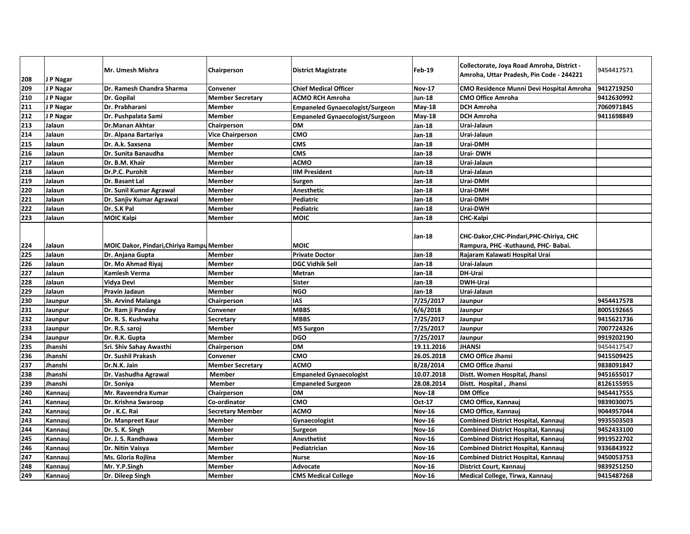| 208 | J P Nagar | Mr. Umesh Mishra                          | Chairperson             | <b>District Magistrate</b>             | Feb-19        | Collectorate, Joya Road Amroha, District -<br>Amroha, Uttar Pradesh, Pin Code - 244221 | 9454417571 |
|-----|-----------|-------------------------------------------|-------------------------|----------------------------------------|---------------|----------------------------------------------------------------------------------------|------------|
| 209 | J P Nagar | Dr. Ramesh Chandra Sharma                 | <b>Convener</b>         | <b>Chief Medical Officer</b>           | <b>Nov-17</b> | <b>CMO Residence Munni Devi Hospital Amroha</b>                                        | 9412719250 |
| 210 | J P Nagar | Dr. Gopilal                               | <b>Member Secretary</b> | <b>ACMO RCH Amroha</b>                 | Jun-18        | <b>CMO Office Amroha</b>                                                               | 9412630992 |
| 211 | J P Nagar | Dr. Prabharani                            | <b>Member</b>           | <b>Empaneled Gynaecologist/Surgeon</b> | May-18        | <b>DCH Amroha</b>                                                                      | 7060971845 |
| 212 | J P Nagar | Dr. Pushpalata Sami                       | <b>Member</b>           | <b>Empaneled Gynaecologist/Surgeon</b> | <b>May-18</b> | <b>DCH Amroha</b>                                                                      | 9411698849 |
| 213 | Jalaun    | <b>Dr.Manan Akhtar</b>                    | Chairperson             | <b>DM</b>                              | Jan-18        | Urai-Jalaun                                                                            |            |
| 214 | Jalaun    | Dr. Alpana Bartariya                      | <b>Vice Chairperson</b> | CMO                                    | Jan-18        | Urai-Jalaun                                                                            |            |
| 215 | Jalaun    | Dr. A.k. Saxsena                          | <b>Member</b>           | <b>CMS</b>                             | Jan-18        | Urai-DMH                                                                               |            |
| 216 | Jalaun    | Dr. Sunita Banaudha                       | <b>Member</b>           | <b>CMS</b>                             | Jan-18        | Urai-DWH                                                                               |            |
| 217 | Jalaun    | Dr. B.M. Khair                            | <b>Member</b>           | <b>ACMO</b>                            | Jan-18        | Urai-Jalaun                                                                            |            |
| 218 | Jalaun    | Dr.P.C. Purohit                           | <b>Member</b>           | <b>IIM President</b>                   | Jun 18        | Urai-Jalaun                                                                            |            |
| 219 | Jalaun    | Dr. Basant Lal                            | <b>Member</b>           | Surgen                                 | Jan-18        | Urai-DMH                                                                               |            |
| 220 | Jalaun    | Dr. Sunil Kumar Agrawal                   | <b>Member</b>           | <b>Anesthetic</b>                      | Jan-18        | Urai-DMH                                                                               |            |
| 221 | Jalaun    | Dr. Sanjiv Kumar Agrawal                  | <b>Member</b>           | <b>Pediatric</b>                       | Jan-18        | Urai-DMH                                                                               |            |
| 222 | Jalaun    | Dr. S.K Pal                               | <b>Member</b>           | Pediatric                              | Jan-18        | Urai-DWH                                                                               |            |
| 223 | Jalaun    | <b>MOIC Kalpi</b>                         | Member                  | <b>MOIC</b>                            | Jan-18        | CHC-Kalpi                                                                              |            |
|     |           |                                           |                         | <b>MOIC</b>                            | Jan-18        | CHC-Dakor, CHC-Pindari, PHC-Chiriya, CHC                                               |            |
| 224 | Jalaun    | MOIC Dakor, Pindari, Chiriya Rampu Member |                         |                                        |               | Rampura, PHC -Kuthaund, PHC- Babai.                                                    |            |
| 225 | Jalaun    | Dr. Anjana Gupta                          | <b>Member</b>           | <b>Private Doctor</b>                  | Jan-18        | Rajaram Kalawati Hospital Urai                                                         |            |
| 226 | Jalaun    | Dr. Mo Ahmad Riyaj                        | <b>Member</b>           | <b>DGC Vidhik Sell</b>                 | Jan-18        | Urai-Jalaun                                                                            |            |
| 227 | Jalaun    | Kamlesh Verma                             | Member                  | <b>Metran</b>                          | Jan-18        | DH-Urai                                                                                |            |
| 228 | Jalaun    | Vidya Devi                                | <b>Member</b>           | <b>Sister</b>                          | Jan-18        | <b>DWH-Urai</b>                                                                        |            |
| 229 | Jalaun    | Pravin Jadaun                             | Member                  | <b>NGO</b>                             | Jan-18        | Urai-Jalaun                                                                            |            |
| 230 | Jaunpur   | <b>Sh. Arvind Malanga</b>                 | Chairperson             | <b>IAS</b>                             | 7/25/2017     | Jaunpur                                                                                | 9454417578 |
| 231 | Jaunpur   | Dr. Ram ji Panday                         | Convener                | <b>MBBS</b>                            | 6/6/2018      | Jaunpur                                                                                | 8005192665 |
| 232 | Jaunpur   | Dr. R. S. Kushwaha                        | <b>Secretary</b>        | <b>MBBS</b>                            | 7/25/2017     | Jaunpur                                                                                | 9415621736 |
| 233 | Jaunpur   | Dr. R.S. saroj                            | <b>Member</b>           | <b>MS Surgon</b>                       | 7/25/2017     | Jaunpur                                                                                | 7007724326 |
| 234 | Jaunpur   | Dr. R.K. Gupta                            | <b>Member</b>           | <b>DGO</b>                             | 7/25/2017     | Jaunpur                                                                                | 9919202190 |
| 235 | Jhanshi   | Sri. Shiv Sahay Awasthi                   | Chairperson             | <b>DM</b>                              | 19.11.2016    | <b>JHANSI</b>                                                                          | 9454417547 |
| 236 | Jhanshi   | Dr. Sushil Prakash                        | Convener                | CMO                                    | 26.05.2018    | <b>CMO Office Jhansi</b>                                                               | 9415509425 |
| 237 | Jhanshi   | Dr.N.K. Jain                              | <b>Member Secretary</b> | <b>ACMO</b>                            | 8/28/2014     | <b>CMO Office Jhansi</b>                                                               | 9838091847 |
| 238 | Jhanshi   | Dr. Vashudha Agrawal                      | Member                  | <b>Empaneled Gynaecologist</b>         | 10.07.2018    | Distt. Women Hospital, Jhansi                                                          | 9451655017 |
| 239 | Jhanshi   | Dr. Soniya                                | <b>Member</b>           | <b>Empaneled Surgeon</b>               | 28.08.2014    | Distt. Hospital, Jhansi                                                                | 8126155955 |
| 240 | Kannauj   | Mr. Raveendra Kumar                       | Chairperson             | <b>DM</b>                              | <b>Nov-18</b> | <b>DM Office</b>                                                                       | 9454417555 |
| 241 | Kannauj   | Dr. Krishna Swaroop                       | Co-ordinator            | CMO                                    | Oct-17        | CMO Office, Kannauj                                                                    | 9839030075 |
| 242 | Kannaui   | Dr.K.C.Rai                                | <b>Secretary Member</b> | <b>ACMO</b>                            | <b>Nov-16</b> | CMO Office, Kannauj                                                                    | 9044957044 |
| 243 | Kannaui   | Dr. Manpreet Kaur                         | <b>Member</b>           | Gynaecologist                          | <b>Nov-16</b> | Combined District Hospital, Kannauj                                                    | 9935503503 |
| 244 | Kannaui   | Dr. S. K. Singh                           | <b>Member</b>           | <b>Surgeon</b>                         | <b>Nov-16</b> | <b>Combined District Hospital, Kannauj</b>                                             | 9452433100 |
| 245 | Kannaui   | Dr. J. S. Randhawa                        | <b>Member</b>           | Anesthetist                            | <b>Nov-16</b> | Combined District Hospital, Kannauj                                                    | 9919522702 |
| 246 | Kannauj   | Dr. Nitin Vaisya                          | <b>Member</b>           | Pediatrician                           | <b>Nov-16</b> | <b>Combined District Hospital, Kannauj</b>                                             | 9336843922 |
| 247 | Kannauj   | Ms. Gloria Rojlina                        | <b>Member</b>           | <b>Nurse</b>                           | <b>Nov-16</b> | Combined District Hospital, Kannauj                                                    | 9450053753 |
| 248 | Kannauj   | Mr. Y.P.Singh                             | Member                  | Advocate                               | <b>Nov-16</b> | District Court, Kannauj                                                                | 9839251250 |
| 249 | Kannaui   | Dr. Dileep Singh                          | <b>Member</b>           | <b>CMS Medical College</b>             | <b>Nov-16</b> | Medical College, Tirwa, Kannauj                                                        | 9415487268 |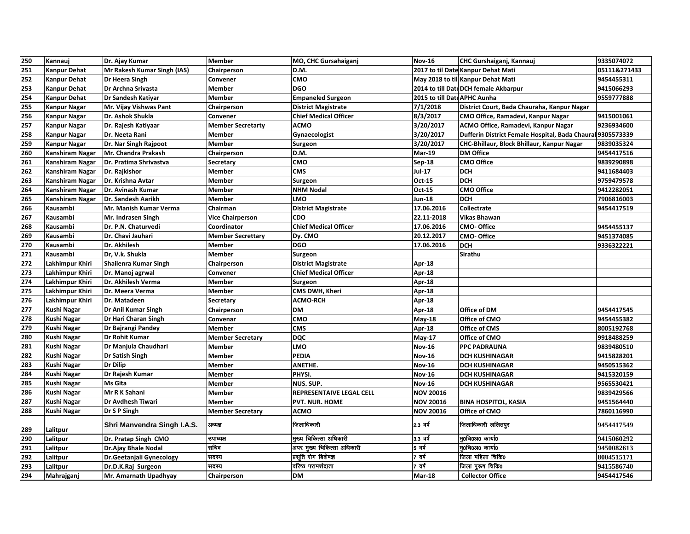| 250 | Kannauj                | Dr. Ajay Kumar              | <b>Member</b>            | MO, CHC Gursahaiganj         | <b>Nov-16</b>                | CHC Gurshaiganj, Kannauj                                   | 9335074072   |
|-----|------------------------|-----------------------------|--------------------------|------------------------------|------------------------------|------------------------------------------------------------|--------------|
| 251 | <b>Kanpur Dehat</b>    | Mr Rakesh Kumar Singh (IAS) | Chairperson              | D.M.                         |                              | 2017 to til Date Kanpur Dehat Mati                         | 05111&271433 |
| 252 | <b>Kanpur Dehat</b>    | Dr Heera Singh              | Convener                 | CMO                          |                              | May 2018 to till Kanpur Dehat Mati                         | 9454455311   |
| 253 | <b>Kanpur Dehat</b>    | Dr Archna Srivasta          | <b>Member</b>            | <b>DGO</b>                   |                              | 2014 to till Date DCH female Akbarpur                      | 9415066293   |
| 254 | <b>Kanpur Dehat</b>    | Dr Sandesh Katiyar          | Member                   | <b>Empaneled Surgeon</b>     | 2015 to till Date APHC Aunha |                                                            | 9559777888   |
| 255 | <b>Kanpur Nagar</b>    | Mr. Vijay Vishwas Pant      | Chairperson              | <b>District Magistrate</b>   | 7/1/2018                     | District Court, Bada Chauraha, Kanpur Nagar                |              |
| 256 | <b>Kanpur Nagar</b>    | Dr. Ashok Shukla            | Convener                 | <b>Chief Medical Officer</b> | 8/3/2017                     | CMO Office, Ramadevi, Kanpur Nagar                         | 9415001061   |
| 257 | <b>Kanpur Nagar</b>    | Dr. Rajesh Katiyaar         | <b>Member Secretarty</b> | <b>ACMO</b>                  | 3/20/2017                    | ACMO Office, Ramadevi, Kanpur Nagar                        | 9236934600   |
| 258 | <b>Kanpur Nagar</b>    | Dr. Neeta Rani              | Member                   | Gynaecologist                | 3/20/2017                    | Dufferin District Female Hospital, Bada Chaural 9305573339 |              |
| 259 | <b>Kanpur Nagar</b>    | Dr. Nar Singh Rajpoot       | <b>Member</b>            | Surgeon                      | 3/20/2017                    | CHC-Bhillaur, Block Bhillaur, Kanpur Nagar                 | 9839035324   |
| 260 | Kanshiram Nagar        | Mr. Chandra Prakash         | Chairperson              | D.M.                         | <b>Mar-19</b>                | <b>DM Office</b>                                           | 9454417516   |
| 261 | Kanshiram Nagar        | Dr. Pratima Shrivastva      | Secretary                | CMO                          | Sep-18                       | <b>CMO Office</b>                                          | 9839290898   |
| 262 | Kanshiram Nagar        | Dr. Rajkishor               | Member                   | <b>CMS</b>                   | Jul-17                       | <b>DCH</b>                                                 | 9411684403   |
| 263 | Kanshiram Nagar        | Dr. Krishna Avtar           | Member                   | Surgeon                      | Oct-15                       | <b>DCH</b>                                                 | 9759479578   |
| 264 | Kanshiram Nagar        | Dr. Avinash Kumar           | Member                   | <b>NHM Nodal</b>             | Oct-15                       | <b>CMO Office</b>                                          | 9412282051   |
| 265 | <b>Kanshiram Nagar</b> | Dr. Sandesh Aarikh          | <b>Member</b>            | LMO                          | Jun-18                       | <b>DCH</b>                                                 | 7906816003   |
| 266 | Kausambi               | Mr. Manish Kumar Verma      | Chairman                 | <b>District Magistrate</b>   | 17.06.2016                   | Collectrate                                                | 9454417519   |
| 267 | Kausambi               | Mr. Indrasen Singh          | <b>Vice Chairperson</b>  | <b>CDO</b>                   | 22.11-2018                   | <b>Vikas Bhawan</b>                                        |              |
| 268 | Kausambi               | Dr. P.N. Chaturvedi         | Coordinator              | <b>Chief Medical Officer</b> | 17.06.2016                   | <b>CMO-Office</b>                                          | 9454455137   |
| 269 | Kausambi               | Dr. Chavi Jauhari           | <b>Member Secrettary</b> | Dy. CMO                      | 20.12.2017                   | <b>CMO-Office</b>                                          | 9451374085   |
| 270 | Kausambi               | Dr. Akhilesh                | Member                   | <b>DGO</b>                   | 17.06.2016                   | <b>DCH</b>                                                 | 9336322221   |
| 271 | Kausambi               | Dr, V.k. Shukla             | <b>Member</b>            | Surgeon                      |                              | Sirathu                                                    |              |
| 272 | Lakhimpur Khiri        | Shailenra Kumar Singh       | Chairperson              | <b>District Magistrate</b>   | Apr-18                       |                                                            |              |
| 273 | Lakhimpur Khiri        | Dr. Manoj agrwal            | Convener                 | <b>Chief Medical Officer</b> | Apr-18                       |                                                            |              |
| 274 | Lakhimpur Khiri        | Dr. Akhilesh Verma          | Member                   | Surgeon                      | Apr-18                       |                                                            |              |
| 275 | Lakhimpur Khiri        | Dr. Meera Verma             | Member                   | CMS DWH, Kheri               | Apr-18                       |                                                            |              |
| 276 | Lakhimpur Khiri        | Dr. Matadeen                | Secretary                | <b>ACMO-RCH</b>              | Apr-18                       |                                                            |              |
| 277 | <b>Kushi Nagar</b>     | Dr Anil Kumar Singh         | Chairperson              | <b>DM</b>                    | Apr-18                       | Office of DM                                               | 9454417545   |
| 278 | Kushi Nagar            | Dr Hari Charan Singh        | Convenar                 | <b>CMO</b>                   | May-18                       | Office of CMO                                              | 9454455382   |
| 279 | <b>Kushi Nagar</b>     | Dr Bajrangi Pandey          | <b>Member</b>            | <b>CMS</b>                   | Apr-18                       | <b>Office of CMS</b>                                       | 8005192768   |
| 280 | Kushi Nagar            | Dr Rohit Kumar              | <b>Member Secretary</b>  | <b>DQC</b>                   | May-17                       | Office of CMO                                              | 9918488259   |
| 281 | <b>Kushi Nagar</b>     | Dr Manjula Chaudhari        | Member                   | LMO                          | <b>Nov-16</b>                | <b>PPC PADRAUNA</b>                                        | 9839480510   |
| 282 | <b>Kushi Nagar</b>     | Dr Satish Singh             | Member                   | <b>PEDIA</b>                 | <b>Nov-16</b>                | <b>DCH KUSHINAGAR</b>                                      | 9415828201   |
| 283 | <b>Kushi Nagar</b>     | Dr Dilip                    | <b>Member</b>            | ANETHE.                      | <b>Nov-16</b>                | <b>DCH KUSHINAGAR</b>                                      | 9450515362   |
| 284 | Kushi Nagar            | Dr Rajesh Kumar             | Member                   | PHYSI.                       | <b>Nov-16</b>                | <b>DCH KUSHINAGAR</b>                                      | 9415320159   |
| 285 | Kushi Nagar            | Ms Gita                     | Member                   | NUS. SUP.                    | <b>Nov-16</b>                | <b>DCH KUSHINAGAR</b>                                      | 9565530421   |
| 286 | Kushi Nagar            | Mr R K Sahani               | Member                   | REPRESENTAIVE LEGAL CELL     | <b>NOV 20016</b>             |                                                            | 9839429566   |
| 287 | <b>Kushi Nagar</b>     | Dr Avdhesh Tiwari           | Member                   | <b>PVT. NUR. HOME</b>        | <b>NOV 20016</b>             | <b>BINA HOSPITOL, KASIA</b>                                | 9451564440   |
| 288 | <b>Kushi Nagar</b>     | Dr S P Singh                | <b>Member Secretary</b>  | <b>ACMO</b>                  | <b>NOV 20016</b>             | Office of CMO                                              | 7860116990   |
| 289 | Lalitpur               | Shri Manvendra Singh I.A.S. | अध्यक्ष                  | जिलाधिकारी                   | 2.3 वर्ष                     | जिलाधिकारी ललितपुर                                         | 9454417549   |
| 290 | Lalitpur               | Dr. Pratap Singh CMO        | उपाध्यक्ष                | मुख्य चिकित्सा अधिकारी       | 3.3 वर्ष                     | मुoचिoअo कार्या0                                           | 9415060292   |
| 291 | Lalitpur               | Dr.Ajay Bhale Nodal         | सचिव                     | अपर मुख्य चिकित्सा अधिकारी   | 5 वर्ष                       | मृ0चि0अ0 कार्या0                                           | 9450082613   |
| 292 | Lalitpur               | Dr.Geetanjali Gynecology    | सदस्य                    | प्रसूति रोग बिशेषज्ञ         | ′वर्ष                        | जिला महिला चिकि0                                           | 8004515171   |
| 293 | Lalitpur               | Dr.D.K.Raj Surgeon          | सदस्य                    | वरिष्ठ परामर्शदाता           | तर्ष                         | जिला पुरूष चिकि0                                           | 9415586740   |
| 294 | Mahrajganj             | Mr. Amarnath Upadhyay       | Chairperson              | <b>DM</b>                    | <b>Mar-18</b>                | <b>Collector Office</b>                                    | 9454417546   |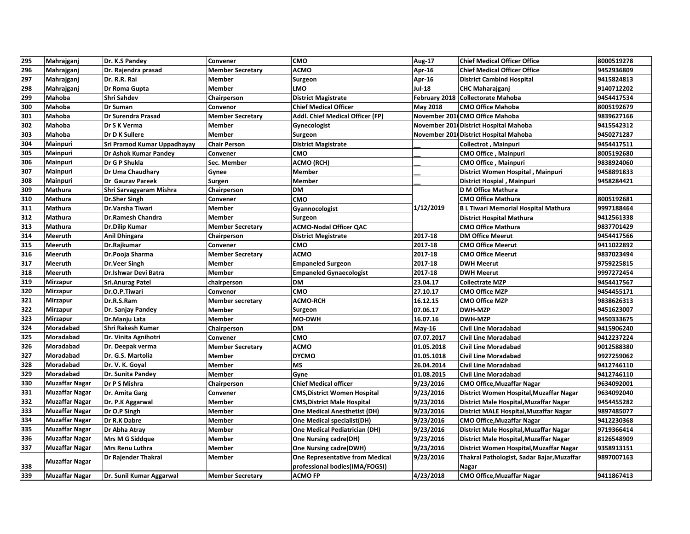| 295 | Mahrajganj            | Dr. K.S Pandey              | Convener                | <b>CMO</b>                             | Aug-17        | <b>Chief Medical Officer Office</b>         | 8000519278 |
|-----|-----------------------|-----------------------------|-------------------------|----------------------------------------|---------------|---------------------------------------------|------------|
| 296 | Mahrajganj            | Dr. Rajendra prasad         | <b>Member Secretary</b> | <b>ACMO</b>                            | Apr-16        | <b>Chief Medical Officer Office</b>         | 9452936809 |
| 297 | Mahrajganj            | Dr. R.R. Rai                | <b>Member</b>           | Surgeon                                | Apr 16        | <b>District Cambind Hospital</b>            | 9415824813 |
| 298 | Mahrajganj            | Dr Roma Gupta               | <b>Member</b>           | <b>LMO</b>                             | <b>Jul-18</b> | <b>CHC Maharajganj</b>                      | 9140712202 |
| 299 | Mahoba                | Shri Sahdev                 | Chairperson             | <b>District Magistrate</b>             |               | February 2018 Collectorate Mahoba           | 9454417534 |
| 300 | Mahoba                | <b>Dr Suman</b>             | Convenor                | <b>Chief Medical Officer</b>           | May 2018      | <b>CMO Office Mahoba</b>                    | 8005192679 |
| 301 | Mahoba                | Dr Surendra Prasad          | <b>Member Secretary</b> | Addl. Chief Medical Officer (FP)       |               | November 2011CMO Office Mahoba              | 9839627166 |
| 302 | Mahoba                | Dr S K Verma                | Member                  | Gynecologist                           |               | November 2011 District Hospital Mahoba      | 9415542312 |
| 303 | Mahoba                | Dr D K Sullere              | <b>Member</b>           | Surgeon                                |               | November 2011 District Hospital Mahoba      | 9450271287 |
| 304 | Mainpuri              | Sri Pramod Kumar Uppadhayay | <b>Chair Person</b>     | <b>District Magistrate</b>             |               | Collectrot, Mainpuri                        | 9454417511 |
| 305 | Mainpuri              | Dr Ashok Kumar Pandey       | Convener                | смо                                    |               | CMO Office, Mainpuri                        | 8005192680 |
| 306 | <b>Mainpuri</b>       | Dr G P Shukla               | Sec. Member             | ACMO (RCH)                             |               | <b>CMO Office, Mainpuri</b>                 | 9838924060 |
| 307 | Mainpuri              | Dr Uma Chaudhary            | Gynee                   | Member                                 |               | District Women Hospital, Mainpuri           | 9458891833 |
| 308 | Mainpuri              | Dr Gaurav Pareek            | Surgen                  | <b>Member</b>                          |               | District Hospial, Mainpuri                  | 9458284421 |
| 309 | Mathura               | Shri Sarvagyaram Mishra     | Chairperson             | <b>DM</b>                              |               | D M Office Mathura                          |            |
| 310 | Mathura               | <b>Dr.Sher Singh</b>        | Convener                | CMO                                    |               | <b>CMO Office Mathura</b>                   | 8005192681 |
| 311 | Mathura               | Dr.Varsha Tiwari            | <b>Member</b>           | Gyannocologist                         | 1/12/2019     | <b>B L Tiwari Memorial Hospital Mathura</b> | 9997188464 |
| 312 | Mathura               | Dr.Ramesh Chandra           | <b>Member</b>           | Surgeon                                |               | <b>District Hospital Mathura</b>            | 9412561338 |
| 313 | Mathura               | Dr.Dilip Kumar              | <b>Member Secretary</b> | <b>ACMO-Nodal Officer QAC</b>          |               | <b>CMO Office Mathura</b>                   | 9837701429 |
| 314 | <b>Meeruth</b>        | Anil Dhingara               | Chairperson             | <b>District Megistrate</b>             | 2017-18       | <b>DM Office Meerut</b>                     | 9454417566 |
| 315 | Meeruth               | Dr.Rajkumar                 | Convener                | CMO                                    | 2017-18       | <b>CMO Office Meerut</b>                    | 9411022892 |
| 316 | Meeruth               | Dr.Pooja Sharma             | <b>Member Secretary</b> | <b>ACMO</b>                            | 2017-18       | <b>CMO Office Meerut</b>                    | 9837023494 |
| 317 | Meeruth               | <b>Dr.Veer Singh</b>        | <b>Member</b>           | <b>Empaneled Surgeon</b>               | 2017-18       | <b>DWH Meerut</b>                           | 9759225815 |
| 318 | <b>Meeruth</b>        | Dr.Ishwar Devi Batra        | Member                  | <b>Empaneled Gynaecologist</b>         | 2017-18       | <b>DWH Meerut</b>                           | 9997272454 |
| 319 | Mirzapur              | <b>Sri.Anurag Patel</b>     | chairperson             | <b>DM</b>                              | 23.04.17      | <b>Collectrate MZP</b>                      | 9454417567 |
| 320 | Mirzapur              | Dr.O.P.Tiwari               | Convenor                | CMO                                    | 27.10.17      | <b>CMO Office MZP</b>                       | 9454455171 |
| 321 | Mirzapur              | Dr.R.S.Ram                  | <b>Member secretary</b> | <b>ACMO-RCH</b>                        | 16.12.15      | <b>CMO Office MZP</b>                       | 9838626313 |
| 322 | <b>Mirzapur</b>       | Dr. Sanjay Pandey           | <b>Member</b>           | Surgeon                                | 07.06.17      | <b>DWH-MZP</b>                              | 9451623007 |
| 323 | Mirzapur              | Dr.Manju Lata               | Member                  | <b>MO-DWH</b>                          | 16.07.16      | <b>DWH-MZP</b>                              | 9450333675 |
| 324 | Moradabad             | Shri Rakesh Kumar           | Chairperson             | <b>DM</b>                              | May-16        | <b>Civil Line Moradabad</b>                 | 9415906240 |
| 325 | Moradabad             | Dr. Vinita Agnihotri        | Convener                | CMO                                    | 07.07.2017    | <b>Civil Line Moradabad</b>                 | 9412237224 |
| 326 | Moradabad             | Dr. Deepak verma            | <b>Member Secretary</b> | <b>ACMO</b>                            | 01.05.2018    | <b>Civil Line Moradabad</b>                 | 9012588380 |
| 327 | <b>Moradabad</b>      | Dr. G.S. Martolia           | Member                  | <b>DYCMO</b>                           | 01.05.1018    | <b>Civil Line Moradabad</b>                 | 9927259062 |
| 328 | Moradabad             | Dr. V. K. Goyal             | <b>Member</b>           | <b>MS</b>                              | 26.04.2014    | <b>Civil Line Moradabad</b>                 | 9412746110 |
| 329 | Moradabad             | Dr. Sunita Pandey           | Member                  | Gyne                                   | 01.08.2015    | <b>Civil Line Moradabad</b>                 | 9412746110 |
| 330 | <b>Muzaffar Nagar</b> | Dr P S Mishra               | Chairperson             | <b>Chief Medical officer</b>           | 9/23/2016     | <b>CMO Office, Muzaffar Nagar</b>           | 9634092001 |
| 331 | <b>Muzaffar Nagar</b> | Dr. Amita Garg              | Convener                | <b>CMS, District Women Hospital</b>    | 9/23/2016     | District Women Hospital, Muzaffar Nagar     | 9634092040 |
| 332 | <b>Muzaffar Nagar</b> | Dr. P.K Aggarwal            | Member                  | <b>CMS, District Male Hospital</b>     | 9/23/2016     | District Male Hospital, Muzaffar Nagar      | 9454455282 |
| 333 | <b>Muzaffar Nagar</b> | Dr O.P Singh                | <b>Member</b>           | <b>One Medical Anesthetist (DH)</b>    | 9/23/2016     | District MALE Hospital, Muzaffar Nagar      | 9897485077 |
| 334 | <b>Muzaffar Nagar</b> | Dr R.K Dabre                | <b>Member</b>           | <b>One Medical specialist(DH)</b>      | 9/23/2016     | <b>CMO Office, Muzaffar Nagar</b>           | 9412230368 |
| 335 | <b>Muzaffar Nagar</b> | Dr Abha Atray               | Member                  | <b>One Medical Pediatrician (DH)</b>   | 9/23/2016     | District Male Hospital, Muzaffar Nagar      | 9719366414 |
| 336 | <b>Muzaffar Nagar</b> | <b>Mrs M G Siddque</b>      | <b>Member</b>           | <b>One Nursing cadre(DH)</b>           | 9/23/2016     | District Male Hospital, Muzaffar Nagar      | 8126548909 |
| 337 | Muzaffar Nagar        | <b>Mrs Renu Luthra</b>      | <b>Member</b>           | <b>One Nursing cadre(DWH)</b>          | 9/23/2016     | District Women Hospital, Muzaffar Nagar     | 9358913151 |
|     |                       | Dr Rajender Thakral         | <b>Member</b>           | <b>One Representative from Medical</b> | 9/23/2016     | Thakral Pathologist, Sadar Bajar, Muzaffar  | 9897007163 |
| 338 | <b>Muzaffar Nagar</b> |                             |                         | professional bodies(IMA/FOGSI)         |               | Nagar                                       |            |
| 339 | Muzaffar Nagar        | Dr. Sunil Kumar Aggarwal    | <b>Member Secretary</b> | <b>ACMO FP</b>                         | 4/23/2018     | <b>CMO Office, Muzaffar Nagar</b>           | 9411867413 |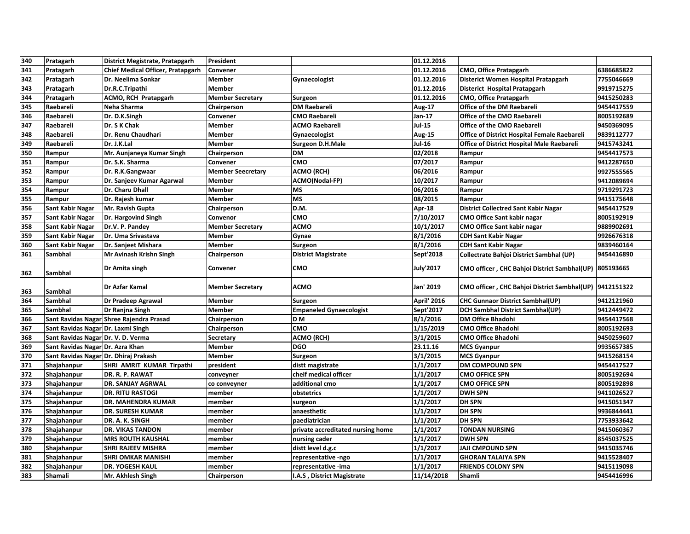| 340 | Pratagarh                             | District Megistrate, Pratapgarh          | President                |                                   | 01.12.2016         |                                                         |            |
|-----|---------------------------------------|------------------------------------------|--------------------------|-----------------------------------|--------------------|---------------------------------------------------------|------------|
| 341 | Pratagarh                             | Chief Medical Officer, Pratapgarh        | Convener                 |                                   | 01.12.2016         | <b>CMO, Office Pratapgarh</b>                           | 6386685822 |
| 342 | Pratagarh                             | Dr. Neelima Sonkar                       | <b>Member</b>            | Gynaecologist                     | 01.12.2016         | Disterict Women Hospital Pratapgarh                     | 7755046669 |
| 343 | Pratagarh                             | Dr.R.C.Tripathi                          | Member                   |                                   | 01.12.2016         | Disterict Hospital Pratapgarh                           | 9919715275 |
| 344 | Pratagarh                             | ACMO, RCH Pratapgarh                     | <b>Member Secretary</b>  | Surgeon                           | 01.12.2016         | <b>CMO, Office Pratapgarh</b>                           | 9415250283 |
| 345 | Raebareli                             | Neha Sharma                              | Chairperson              | <b>DM Raebareli</b>               | Aug-17             | Office of the DM Raebareli                              | 9454417559 |
| 346 | Raebareli                             | Dr. D.K.Singh                            | Convener                 | <b>CMO Raebareli</b>              | Jan-17             | <b>Office of the CMO Raebareli</b>                      | 8005192689 |
| 347 | Raebareli                             | Dr. S K Chak                             | <b>Member</b>            | <b>ACMO Raebareli</b>             | <b>Jul-15</b>      | Office of the CMO Raebareli                             | 9450369095 |
| 348 | Raebareli                             | Dr. Renu Chaudhari                       | <b>Member</b>            | Gynaecologist                     | Aug-15             | Office of District Hospital Female Raebareli            | 9839112777 |
| 349 | Raebareli                             | Dr. J.K.Lal                              | <b>Member</b>            | <b>Surgeon D.H.Male</b>           | <b>Jul-16</b>      | <b>Office of District Hospital Male Raebareli</b>       | 9415743241 |
| 350 | Rampur                                | Mr. Aunjaneya Kumar Singh                | Chairperson              | <b>DM</b>                         | 02/2018            | Rampur                                                  | 9454417573 |
| 351 | Rampur                                | Dr. S.K. Sharma                          | Convener                 | CMO                               | 07/2017            | Rampur                                                  | 9412287650 |
| 352 | Rampur                                | Dr. R.K.Gangwaar                         | <b>Member Seecretary</b> | <b>ACMO (RCH)</b>                 | 06/2016            | Rampur                                                  | 9927555565 |
| 353 | Rampur                                | Dr. Sanjeev Kumar Agarwal                | Member                   | ACMO(Nodal-FP)                    | 10/2017            | Rampur                                                  | 9412089694 |
| 354 | Rampur                                | Dr. Charu Dhall                          | <b>Member</b>            | <b>MS</b>                         | 06/2016            | Rampur                                                  | 9719291723 |
| 355 | Rampur                                | Dr. Rajesh kumar                         | <b>Member</b>            | <b>MS</b>                         | 08/2015            | Rampur                                                  | 9415175648 |
| 356 | Sant Kabir Nagar                      | Mr. Ravish Gupta                         | Chairperson              | D.M.                              | Apr 18             | <b>District Collectred Sant Kabir Nagar</b>             | 9454417529 |
| 357 | Sant Kabir Nagar                      | Dr. Hargovind Singh                      | Convenor                 | CMO                               | 7/10/2017          | <b>CMO Office Sant kabir nagar</b>                      | 8005192919 |
| 358 | Sant Kabir Nagar                      | Dr.V. P. Pandey                          | <b>Member Secretary</b>  | <b>ACMO</b>                       | 10/1/2017          | <b>CMO Office Sant kabir nagar</b>                      | 9889902691 |
| 359 | <b>Sant Kabir Nagar</b>               | Dr. Uma Srivastava                       | Member                   | Gynae                             | 8/1/2016           | <b>CDH Sant Kabir Nagar</b>                             | 9926676318 |
| 360 | <b>Sant Kabir Nagar</b>               | Dr. Sanjeet Mishara                      | <b>Member</b>            | Surgeon                           | 8/1/2016           | <b>CDH Sant Kabir Nagar</b>                             | 9839460164 |
| 361 | Sambhal                               | Mr Avinash Krishn Singh                  | Chairperson              | <b>District Magistrate</b>        | Sept'2018          | Collectrate Bahjoi District Sambhal (UP)                | 9454416890 |
| 362 | Sambhal                               | Dr Amita singh                           | Convener                 | CMO                               | <b>July'2017</b>   | CMO officer, CHC Bahjoi District Sambhal(UP) 805193665  |            |
| 363 | Sambhal                               | <b>Dr Azfar Kamal</b>                    | <b>Member Secretary</b>  | <b>ACMO</b>                       | Jan' 2019          | CMO officer, CHC Bahjoi District Sambhal(UP) 9412151322 |            |
| 364 | Sambhal                               | Dr Pradeep Agrawal                       | Member                   | Surgeon                           | <b>April' 2016</b> | <b>CHC Gunnaor District Sambhal(UP)</b>                 | 9412121960 |
| 365 | Sambhal                               | Dr Ranjna Singh                          | <b>Member</b>            | <b>Empaneled Gynaecologist</b>    | Sept'2017          | <b>DCH Sambhal District Sambhal(UP)</b>                 | 9412449472 |
| 366 |                                       | Sant Ravidas Nagar Shree Rajendra Prasad | Chairperson              | <b>DM</b>                         | 8/1/2016           | <b>DM Office Bhadohi</b>                                | 9454417568 |
| 367 | Sant Ravidas Nagar Dr. Laxmi Singh    |                                          | Chairperson              | CMO                               | 1/15/2019          | <b>CMO Office Bhadohi</b>                               | 8005192693 |
| 368 | Sant Ravidas Nagar Dr. V. D. Verma    |                                          | Secretary                | <b>ACMO (RCH)</b>                 | 3/1/2015           | <b>CMO Office Bhadohi</b>                               | 9450259607 |
| 369 | Sant Ravidas Nagar Dr. Azra Khan      |                                          | <b>Member</b>            | <b>DGO</b>                        | 23.11.16           | <b>MCS Gyanpur</b>                                      | 9935657385 |
| 370 | Sant Ravidas Nagar Dr. Dhiraj Prakash |                                          | <b>Member</b>            | <b>Surgeon</b>                    | 3/1/2015           | <b>MCS Gyanpur</b>                                      | 9415268154 |
| 371 | Shajahanpur                           | SHRI AMRIT KUMAR Tirpathi                | president                | distt magistrate                  | 1/1/2017           | <b>DM COMPOUND SPN</b>                                  | 9454417527 |
| 372 | Shajahanpur                           | DR. R. P. RAWAT                          | conveyner                | cheif medical officer             | 1/1/2017           | <b>CMO OFFICE SPN</b>                                   | 8005192694 |
| 373 | Shajahanpur                           | <b>DR. SANJAY AGRWAL</b>                 | co conveyner             | additional cmo                    | 1/1/2017           | <b>CMO OFFICE SPN</b>                                   | 8005192898 |
| 374 | Shajahanpur                           | <b>DR. RITU RASTOGI</b>                  | member                   | obstetrics                        | 1/1/2017           | <b>DWH SPN</b>                                          | 9411026527 |
| 375 | Shajahanpur                           | DR. MAHENDRA KUMAR                       | member                   | surgeon                           | 1/1/2017           | <b>DH SPN</b>                                           | 9415051347 |
| 376 | Shajahanpur                           | <b>DR. SURESH KUMAR</b>                  | member                   | anaesthetic                       | 1/1/2017           | <b>DH SPN</b>                                           | 9936844441 |
| 377 | Shajahanpur                           | DR. A. K. SINGH                          | member                   | paediatrician                     | 1/1/2017           | <b>DH SPN</b>                                           | 7753933642 |
| 378 | Shajahanpur                           | <b>DR. VIKAS TANDON</b>                  | member                   | private accreditated nursing home | 1/1/2017           | <b>TONDAN NURSING</b>                                   | 9415060367 |
| 379 | Shajahanpur                           | <b>MRS ROUTH KAUSHAL</b>                 | member                   | nursing cader                     | 1/1/2017           | <b>DWH SPN</b>                                          | 8545037525 |
| 380 | Shajahanpur                           | <b>SHRI RAJEEV MISHRA</b>                | member                   | distt level d.g.c                 | 1/1/2017           | <b>JAJI CMPOUND SPN</b>                                 | 9415035746 |
| 381 | Shajahanpur                           | <b>SHRI OMKAR MANISHI</b>                | member                   | representative -ngo               | 1/1/2017           | <b>GHORAN TALAIYA SPN</b>                               | 9415528407 |
| 382 | Shajahanpur                           | <b>DR. YOGESH KAUL</b>                   | member                   | representative -ima               | 1/1/2017           | <b>FRIENDS COLONY SPN</b>                               | 9415119098 |
| 383 | Shamali                               | Mr. Akhlesh Singh                        | Chairperson              | I.A.S, District Magistrate        | 11/14/2018         | Shamli                                                  | 9454416996 |